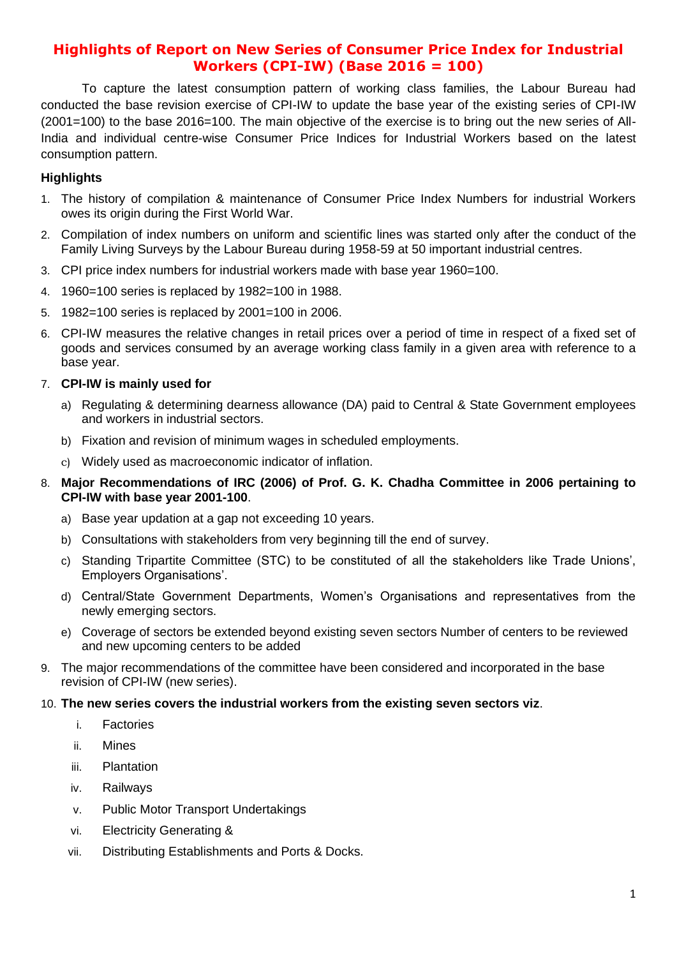# **Highlights of Report on New Series of Consumer Price Index for Industrial Workers (CPI-IW) (Base 2016 = 100)**

To capture the latest consumption pattern of working class families, the Labour Bureau had conducted the base revision exercise of CPI-IW to update the base year of the existing series of CPI-IW (2001=100) to the base 2016=100. The main objective of the exercise is to bring out the new series of All-India and individual centre-wise Consumer Price Indices for Industrial Workers based on the latest consumption pattern.

## **Highlights**

- 1. The history of compilation & maintenance of Consumer Price Index Numbers for industrial Workers owes its origin during the First World War.
- 2. Compilation of index numbers on uniform and scientific lines was started only after the conduct of the Family Living Surveys by the Labour Bureau during 1958-59 at 50 important industrial centres.
- 3. CPI price index numbers for industrial workers made with base year 1960=100.
- 4. 1960=100 series is replaced by 1982=100 in 1988.
- 5. 1982=100 series is replaced by 2001=100 in 2006.
- 6. CPI-IW measures the relative changes in retail prices over a period of time in respect of a fixed set of goods and services consumed by an average working class family in a given area with reference to a base year.
- 7. **CPI-IW is mainly used for** 
	- a) Regulating & determining dearness allowance (DA) paid to Central & State Government employees and workers in industrial sectors.
	- b) Fixation and revision of minimum wages in scheduled employments.
	- c) Widely used as macroeconomic indicator of inflation.
- 8. **Major Recommendations of IRC (2006) of Prof. G. K. Chadha Committee in 2006 pertaining to CPI-IW with base year 2001-100**.
	- a) Base year updation at a gap not exceeding 10 years.
	- b) Consultations with stakeholders from very beginning till the end of survey.
	- c) Standing Tripartite Committee (STC) to be constituted of all the stakeholders like Trade Unions', Employers Organisations'.
	- d) Central/State Government Departments, Women's Organisations and representatives from the newly emerging sectors.
	- e) Coverage of sectors be extended beyond existing seven sectors Number of centers to be reviewed and new upcoming centers to be added
- 9. The major recommendations of the committee have been considered and incorporated in the base revision of CPI-IW (new series).

#### 10. **The new series covers the industrial workers from the existing seven sectors viz**.

- i. Factories
- ii. Mines
- iii. Plantation
- iv. Railways
- v. Public Motor Transport Undertakings
- vi. Electricity Generating &
- vii. Distributing Establishments and Ports & Docks.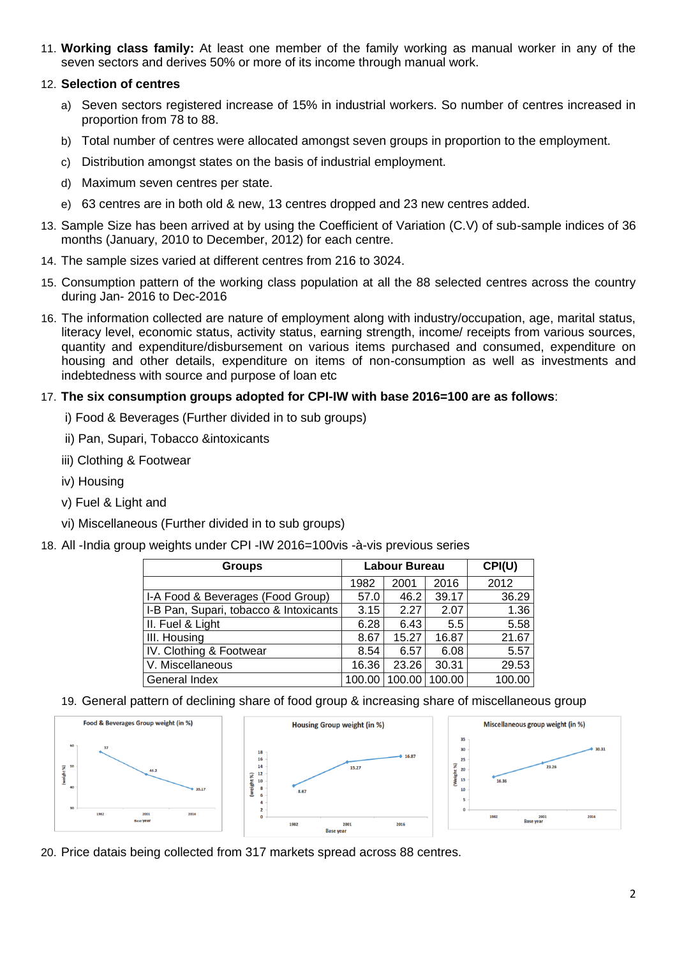11. **Working class family:** At least one member of the family working as manual worker in any of the seven sectors and derives 50% or more of its income through manual work.

## 12. **Selection of centres**

- a) Seven sectors registered increase of 15% in industrial workers. So number of centres increased in proportion from 78 to 88.
- b) Total number of centres were allocated amongst seven groups in proportion to the employment.
- c) Distribution amongst states on the basis of industrial employment.
- d) Maximum seven centres per state.
- e) 63 centres are in both old & new, 13 centres dropped and 23 new centres added.
- 13. Sample Size has been arrived at by using the Coefficient of Variation (C.V) of sub-sample indices of 36 months (January, 2010 to December, 2012) for each centre.
- 14. The sample sizes varied at different centres from 216 to 3024.
- 15. Consumption pattern of the working class population at all the 88 selected centres across the country during Jan- 2016 to Dec-2016
- 16. The information collected are nature of employment along with industry/occupation, age, marital status, literacy level, economic status, activity status, earning strength, income/ receipts from various sources, quantity and expenditure/disbursement on various items purchased and consumed, expenditure on housing and other details, expenditure on items of non-consumption as well as investments and indebtedness with source and purpose of loan etc

## 17. **The six consumption groups adopted for CPI-IW with base 2016=100 are as follows**:

- i) Food & Beverages (Further divided in to sub groups)
- ii) Pan, Supari, Tobacco &intoxicants
- iii) Clothing & Footwear
- iv) Housing
- v) Fuel & Light and
- vi) Miscellaneous (Further divided in to sub groups)
- 18. All -India group weights under CPI -IW 2016=100vis -à-vis previous series

| <b>Groups</b>                          | <b>Labour Bureau</b> |        |        | CPI(U) |
|----------------------------------------|----------------------|--------|--------|--------|
|                                        | 1982                 | 2001   | 2016   | 2012   |
| I-A Food & Beverages (Food Group)      | 57.0                 | 46.2   | 39.17  | 36.29  |
| I-B Pan, Supari, tobacco & Intoxicants | 3.15                 | 2.27   | 2.07   | 1.36   |
| II. Fuel & Light                       | 6.28                 | 6.43   | 5.5    | 5.58   |
| III. Housing                           | 8.67                 | 15.27  | 16.87  | 21.67  |
| IV. Clothing & Footwear                | 8.54                 | 6.57   | 6.08   | 5.57   |
| V. Miscellaneous                       | 16.36                | 23.26  | 30.31  | 29.53  |
| General Index                          | 100.00               | 100.00 | 100.00 | 100.00 |

19. General pattern of declining share of food group & increasing share of miscellaneous group



20. Price datais being collected from 317 markets spread across 88 centres.